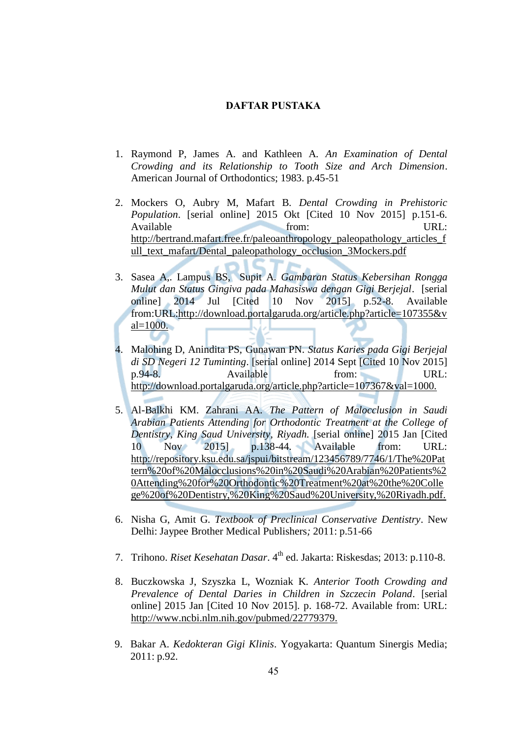## **DAFTAR PUSTAKA**

- 1. Raymond P, James A. and Kathleen A. *An Examination of Dental Crowding and its Relationship to Tooth Size and Arch Dimension*. American Journal of Orthodontics; 1983. p.45-51
- 2. Mockers O, Aubry M, Mafart B. *Dental Crowding in Prehistoric Population*. [serial online] 2015 Okt [Cited 10 Nov 2015] p.151-6. Available **the URL: IMPLE** http://bertrand.mafart.free.fr/paleoanthropology\_paleopathology\_articles\_f ull\_text\_mafart/Dental\_paleopathology\_occlusion\_3Mockers.pdf
- 3. Sasea A,. Lampus BS, Supit A. *Gambaran Status Kebersihan Rongga Mulut dan Status Gingiva pada Mahasiswa dengan Gigi Berjejal*. [serial online] 2014 Jul [Cited 10 Nov 2015] p.52-8. Available from:URL:http://download.portalgaruda.org/article.php?article=107355&v  $al=1000$ .
- 4. Malohing D, Anindita PS, Gunawan PN. *Status Karies pada Gigi Berjejal di SD Negeri 12 Tuminting*. [serial online] 2014 Sept [Cited 10 Nov 2015] p.94-8. Available from: URL: http://download.portalgaruda.org/article.php?article=107367&val=1000.
- 5. Al-Balkhi KM. Zahrani AA. *The Pattern of Malocclusion in Saudi Arabian Patients Attending for Orthodontic Treatment at the College of Dentistry, King Saud University, Riyadh.* [serial online] 2015 Jan [Cited 10 Nov 2015] p.138-44. Available from: URL: http://repository.ksu.edu.sa/jspui/bitstream/123456789/7746/1/The%20Pat tern%20of%20Malocclusions%20in%20Saudi%20Arabian%20Patients%2 0Attending%20for%20Orthodontic%20Treatment%20at%20the%20Colle ge%20of%20Dentistry,%20King%20Saud%20University,%20Riyadh.pdf.
- 6. Nisha G, Amit G. *Textbook of Preclinical Conservative Dentistry*. New Delhi: Jaypee Brother Medical Publishers*;* 2011: p.51-66
- 7. Trihono. *Riset Kesehatan Dasar*. 4<sup>th</sup> ed. Jakarta: Riskesdas; 2013: p.110-8.
- 8. Buczkowska J, Szyszka L, Wozniak K. *Anterior Tooth Crowding and Prevalence of Dental Daries in Children in Szczecin Poland*. [serial online] 2015 Jan [Cited 10 Nov 2015]. p. 168-72. Available from: URL: http://www.ncbi.nlm.nih.gov/pubmed/22779379.
- 9. Bakar A. *Kedokteran Gigi Klinis*. Yogyakarta: Quantum Sinergis Media; 2011: p.92.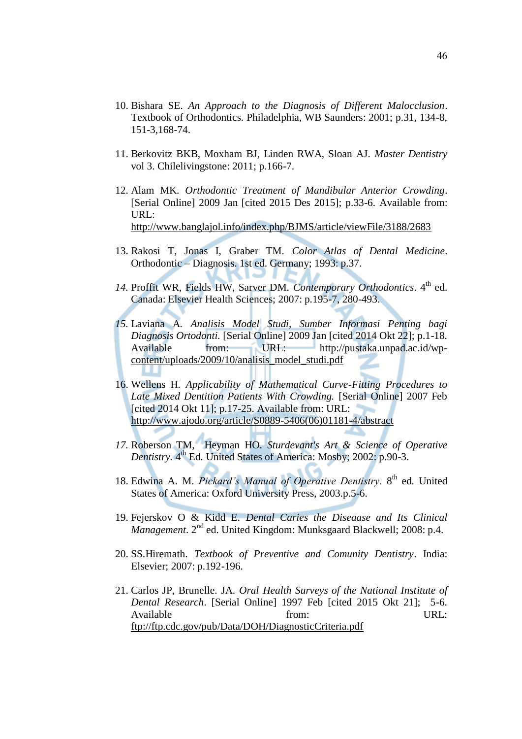- 10. Bishara SE. *An Approach to the Diagnosis of Different Malocclusion*. Textbook of Orthodontics. Philadelphia, WB Saunders: 2001; p.31, 134-8, 151-3,168-74.
- 11. Berkovitz BKB, Moxham BJ, Linden RWA, Sloan AJ. *Master Dentistry* vol 3. Chilelivingstone: 2011; p.166-7.
- 12. Alam MK. *Orthodontic Treatment of Mandibular Anterior Crowding*. [Serial Online] 2009 Jan [cited 2015 Des 2015]; p.33-6. Available from: URL: <http://www.banglajol.info/index.php/BJMS/article/viewFile/3188/2683>
- 13. Rakosi T, Jonas I, Graber TM. *Color Atlas of Dental Medicine*. Orthodontic – Diagnosis. 1st ed. Germany; 1993: p.37.
- 14. Proffit WR, Fields HW, Sarver DM. *Contemporary Orthodontics*. 4<sup>th</sup> ed. Canada: Elsevier Health Sciences; 2007: p.195-7, 280-493.
- *15.* Laviana A*. Analisis Model Studi, Sumber Informasi Penting bagi Diagnosis Ortodonti.* [Serial Online] 2009 Jan [cited 2014 Okt 22]; p.1-18. Available from: URL: [http://pustaka.unpad.ac.id/wp](http://pustaka.unpad.ac.id/wp-content/uploads/2009/10/analisis_model_studi.pdf)[content/uploads/2009/10/analisis\\_model\\_studi.pdf](http://pustaka.unpad.ac.id/wp-content/uploads/2009/10/analisis_model_studi.pdf)
- 16. Wellens H. *Applicability of Mathematical Curve-Fitting Procedures to Late Mixed Dentition Patients With Crowding.* [Serial Online] 2007 Feb [cited 2014 Okt 11]; p.17-25. Available from: URL: [http://www.ajodo.org/article/S0889-5406\(06\)01181-4/abstract](http://www.ajodo.org/article/S0889-5406(06)01181-4/abstract)
- *17.* Roberson TM, Heyman HO. *Sturdevant's Art & Science of Operative*  Dentistry. 4<sup>th</sup> Ed. United States of America: Mosby; 2002: p.90-3.
- 18. Edwina A. M. Pickard's Manual of Operative Dentistry. 8<sup>th</sup> ed. United States of America: Oxford University Press, 2003.p.5-6.
- 19. Fejerskov O & Kidd E. *Dental Caries the Diseaase and Its Clinical Management*. 2nd ed. United Kingdom: Munksgaard Blackwell; 2008: p.4.
- 20. SS.Hiremath. *Textbook of Preventive and Comunity Dentistry*. India: Elsevier; 2007: p.192-196.
- 21. Carlos JP, Brunelle. JA. *Oral Health Surveys of the National Institute of Dental Research*. [Serial Online] 1997 Feb [cited 2015 Okt 21]; 5-6. Available **from:** URL: <ftp://ftp.cdc.gov/pub/Data/DOH/DiagnosticCriteria.pdf>